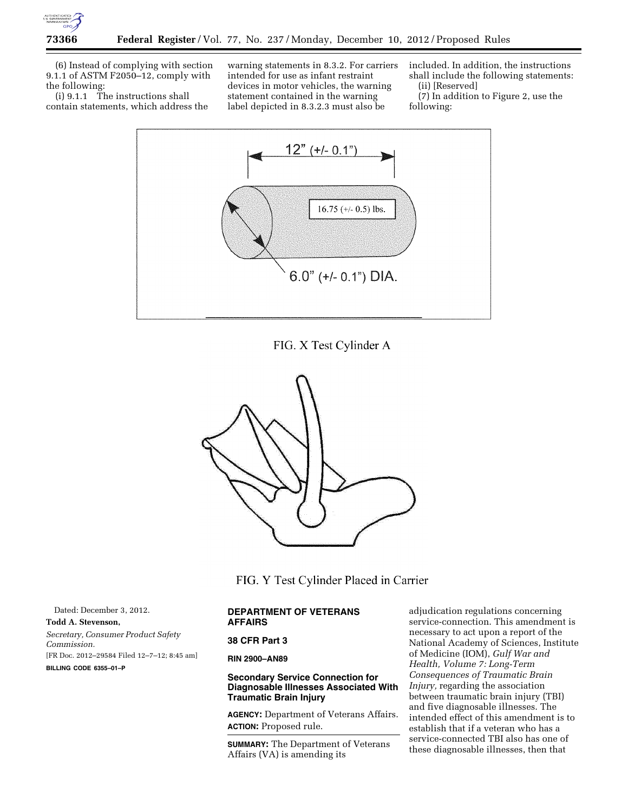

(6) Instead of complying with section 9.1.1 of ASTM F2050–12, comply with the following:

(i)  $9.1.1$  The instructions shall contain statements, which address the

warning statements in 8.3.2. For carriers intended for use as infant restraint devices in motor vehicles, the warning statement contained in the warning label depicted in 8.3.2.3 must also be

included. In addition, the instructions shall include the following statements: (ii) [Reserved]

(7) In addition to Figure 2, use the following:



FIG. X Test Cylinder A



FIG. Y Test Cylinder Placed in Carrier

Dated: December 3, 2012. **Todd A. Stevenson,**  *Secretary, Consumer Product Safety Commission.*  [FR Doc. 2012–29584 Filed 12–7–12; 8:45 am] **BILLING CODE 6355–01–P** 

# **DEPARTMENT OF VETERANS AFFAIRS**

### **38 CFR Part 3**

# **RIN 2900–AN89**

# **Secondary Service Connection for Diagnosable Illnesses Associated With Traumatic Brain Injury**

**AGENCY:** Department of Veterans Affairs. **ACTION:** Proposed rule.

**SUMMARY:** The Department of Veterans Affairs (VA) is amending its

adjudication regulations concerning service-connection. This amendment is necessary to act upon a report of the National Academy of Sciences, Institute of Medicine (IOM), *Gulf War and Health, Volume 7: Long-Term Consequences of Traumatic Brain Injury,* regarding the association between traumatic brain injury (TBI) and five diagnosable illnesses. The intended effect of this amendment is to establish that if a veteran who has a service-connected TBI also has one of these diagnosable illnesses, then that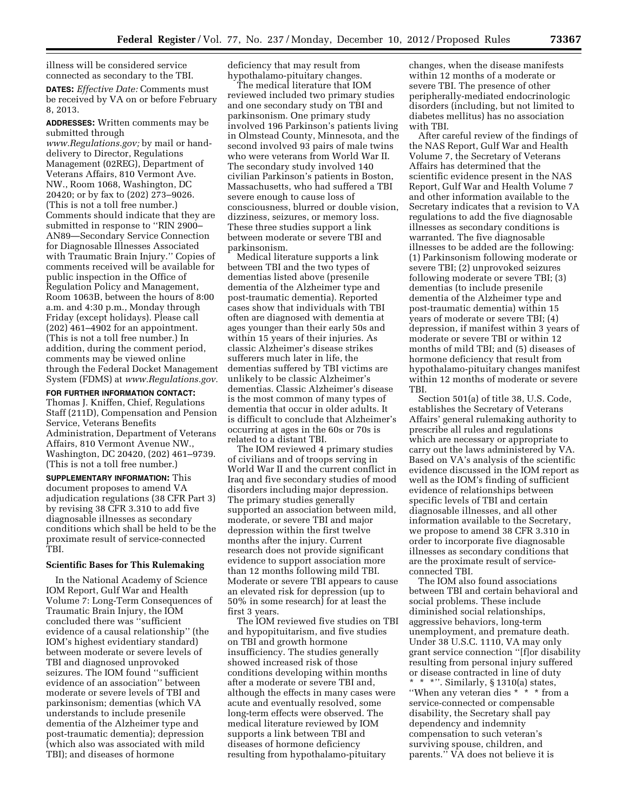illness will be considered service connected as secondary to the TBI.

**DATES:** *Effective Date:* Comments must be received by VA on or before February 8, 2013.

**ADDRESSES:** Written comments may be submitted through

*[www.Regulations.gov;](http://www.Regulations.gov)* by mail or handdelivery to Director, Regulations Management (02REG), Department of Veterans Affairs, 810 Vermont Ave. NW., Room 1068, Washington, DC 20420; or by fax to (202) 273–9026. (This is not a toll free number.) Comments should indicate that they are submitted in response to ''RIN 2900– AN89—Secondary Service Connection for Diagnosable Illnesses Associated with Traumatic Brain Injury.'' Copies of comments received will be available for public inspection in the Office of Regulation Policy and Management, Room 1063B, between the hours of 8:00 a.m. and 4:30 p.m., Monday through Friday (except holidays). Please call  $(202)\,461-4902$  for an appointment. (This is not a toll free number.) In addition, during the comment period, comments may be viewed online through the Federal Docket Management System (FDMS) at *[www.Regulations.gov.](http://www.Regulations.gov)* 

**FOR FURTHER INFORMATION CONTACT:** 

Thomas J. Kniffen, Chief, Regulations Staff (211D), Compensation and Pension Service, Veterans Benefits Administration, Department of Veterans Affairs, 810 Vermont Avenue NW., Washington, DC 20420, (202) 461–9739. (This is not a toll free number.)

**SUPPLEMENTARY INFORMATION:** This document proposes to amend VA adjudication regulations (38 CFR Part 3) by revising 38 CFR 3.310 to add five diagnosable illnesses as secondary conditions which shall be held to be the proximate result of service-connected TBI.

## **Scientific Bases for This Rulemaking**

In the National Academy of Science IOM Report, Gulf War and Health Volume 7: Long-Term Consequences of Traumatic Brain Injury, the IOM concluded there was ''sufficient evidence of a causal relationship'' (the IOM's highest evidentiary standard) between moderate or severe levels of TBI and diagnosed unprovoked seizures. The IOM found ''sufficient evidence of an association'' between moderate or severe levels of TBI and parkinsonism; dementias (which VA understands to include presenile dementia of the Alzheimer type and post-traumatic dementia); depression (which also was associated with mild TBI); and diseases of hormone

deficiency that may result from hypothalamo-pituitary changes.

The medical literature that IOM reviewed included two primary studies and one secondary study on TBI and parkinsonism. One primary study involved 196 Parkinson's patients living in Olmstead County, Minnesota, and the second involved 93 pairs of male twins who were veterans from World War II. The secondary study involved 140 civilian Parkinson's patients in Boston, Massachusetts, who had suffered a TBI severe enough to cause loss of consciousness, blurred or double vision, dizziness, seizures, or memory loss. These three studies support a link between moderate or severe TBI and parkinsonism.

Medical literature supports a link between TBI and the two types of dementias listed above (presenile dementia of the Alzheimer type and post-traumatic dementia). Reported cases show that individuals with TBI often are diagnosed with dementia at ages younger than their early 50s and within 15 years of their injuries. As classic Alzheimer's disease strikes sufferers much later in life, the dementias suffered by TBI victims are unlikely to be classic Alzheimer's dementias. Classic Alzheimer's disease is the most common of many types of dementia that occur in older adults. It is difficult to conclude that Alzheimer's occurring at ages in the 60s or 70s is related to a distant TBI.

The IOM reviewed 4 primary studies of civilians and of troops serving in World War II and the current conflict in Iraq and five secondary studies of mood disorders including major depression. The primary studies generally supported an association between mild, moderate, or severe TBI and major depression within the first twelve months after the injury. Current research does not provide significant evidence to support association more than 12 months following mild TBI. Moderate or severe TBI appears to cause an elevated risk for depression (up to 50% in some research) for at least the first 3 years.

The IOM reviewed five studies on TBI and hypopituitarism, and five studies on TBI and growth hormone insufficiency. The studies generally showed increased risk of those conditions developing within months after a moderate or severe TBI and, although the effects in many cases were acute and eventually resolved, some long-term effects were observed. The medical literature reviewed by IOM supports a link between TBI and diseases of hormone deficiency resulting from hypothalamo-pituitary

changes, when the disease manifests within 12 months of a moderate or severe TBI. The presence of other peripherally-mediated endocrinologic disorders (including, but not limited to diabetes mellitus) has no association with TBI.

After careful review of the findings of the NAS Report, Gulf War and Health Volume 7, the Secretary of Veterans Affairs has determined that the scientific evidence present in the NAS Report, Gulf War and Health Volume 7 and other information available to the Secretary indicates that a revision to VA regulations to add the five diagnosable illnesses as secondary conditions is warranted. The five diagnosable illnesses to be added are the following: (1) Parkinsonism following moderate or severe TBI; (2) unprovoked seizures following moderate or severe TBI; (3) dementias (to include presenile dementia of the Alzheimer type and post-traumatic dementia) within 15 years of moderate or severe TBI; (4) depression, if manifest within 3 years of moderate or severe TBI or within 12 months of mild TBI; and (5) diseases of hormone deficiency that result from hypothalamo-pituitary changes manifest within 12 months of moderate or severe TBI.

Section 501(a) of title 38, U.S. Code, establishes the Secretary of Veterans Affairs' general rulemaking authority to prescribe all rules and regulations which are necessary or appropriate to carry out the laws administered by VA. Based on VA's analysis of the scientific evidence discussed in the IOM report as well as the IOM's finding of sufficient evidence of relationships between specific levels of TBI and certain diagnosable illnesses, and all other information available to the Secretary, we propose to amend 38 CFR 3.310 in order to incorporate five diagnosable illnesses as secondary conditions that are the proximate result of serviceconnected TBI.

The IOM also found associations between TBI and certain behavioral and social problems. These include diminished social relationships, aggressive behaviors, long-term unemployment, and premature death. Under 38 U.S.C. 1110, VA may only grant service connection ''[f]or disability resulting from personal injury suffered or disease contracted in line of duty \* \* \*''. Similarly, § 1310(a) states, ''When any veteran dies \* \* \* from a service-connected or compensable disability, the Secretary shall pay dependency and indemnity compensation to such veteran's surviving spouse, children, and parents.'' VA does not believe it is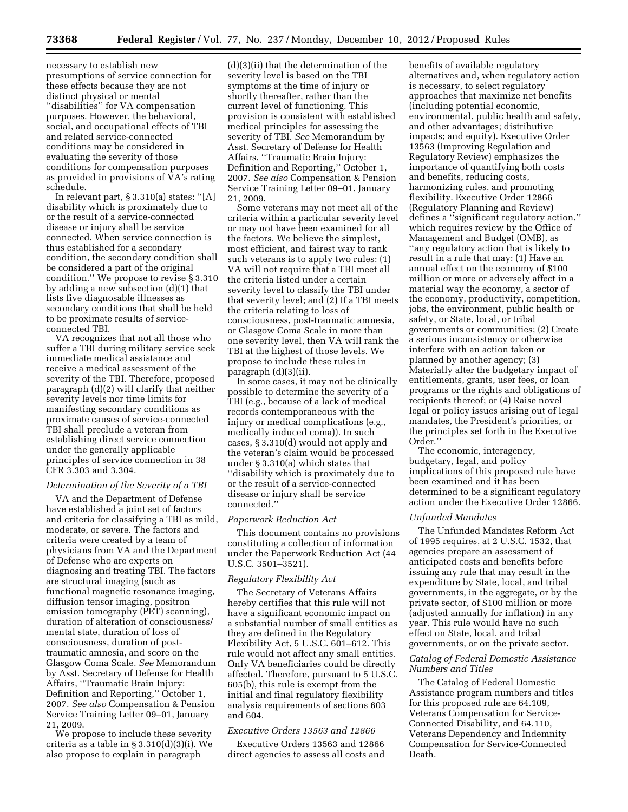necessary to establish new presumptions of service connection for these effects because they are not distinct physical or mental ''disabilities'' for VA compensation purposes. However, the behavioral, social, and occupational effects of TBI and related service-connected conditions may be considered in evaluating the severity of those conditions for compensation purposes as provided in provisions of VA's rating schedule.

In relevant part, § 3.310(a) states: ''[A] disability which is proximately due to or the result of a service-connected disease or injury shall be service connected. When service connection is thus established for a secondary condition, the secondary condition shall be considered a part of the original condition.'' We propose to revise § 3.310 by adding a new subsection (d)(1) that lists five diagnosable illnesses as secondary conditions that shall be held to be proximate results of serviceconnected TBI.

VA recognizes that not all those who suffer a TBI during military service seek immediate medical assistance and receive a medical assessment of the severity of the TBI. Therefore, proposed paragraph (d)(2) will clarify that neither severity levels nor time limits for manifesting secondary conditions as proximate causes of service-connected TBI shall preclude a veteran from establishing direct service connection under the generally applicable principles of service connection in 38 CFR 3.303 and 3.304.

## *Determination of the Severity of a TBI*

VA and the Department of Defense have established a joint set of factors and criteria for classifying a TBI as mild, moderate, or severe. The factors and criteria were created by a team of physicians from VA and the Department of Defense who are experts on diagnosing and treating TBI. The factors are structural imaging (such as functional magnetic resonance imaging, diffusion tensor imaging, positron emission tomography (PET) scanning), duration of alteration of consciousness/ mental state, duration of loss of consciousness, duration of posttraumatic amnesia, and score on the Glasgow Coma Scale. *See* Memorandum by Asst. Secretary of Defense for Health Affairs, ''Traumatic Brain Injury: Definition and Reporting,'' October 1, 2007. *See also* Compensation & Pension Service Training Letter 09–01, January 21, 2009.

We propose to include these severity criteria as a table in § 3.310(d)(3)(i). We also propose to explain in paragraph

(d)(3)(ii) that the determination of the severity level is based on the TBI symptoms at the time of injury or shortly thereafter, rather than the current level of functioning. This provision is consistent with established medical principles for assessing the severity of TBI. *See* Memorandum by Asst. Secretary of Defense for Health Affairs, ''Traumatic Brain Injury: Definition and Reporting,'' October 1, 2007. *See also* Compensation & Pension Service Training Letter 09–01, January 21, 2009.

Some veterans may not meet all of the criteria within a particular severity level or may not have been examined for all the factors. We believe the simplest, most efficient, and fairest way to rank such veterans is to apply two rules: (1) VA will not require that a TBI meet all the criteria listed under a certain severity level to classify the TBI under that severity level; and (2) If a TBI meets the criteria relating to loss of consciousness, post-traumatic amnesia, or Glasgow Coma Scale in more than one severity level, then VA will rank the TBI at the highest of those levels. We propose to include these rules in paragraph (d)(3)(ii).

In some cases, it may not be clinically possible to determine the severity of a TBI (e.g., because of a lack of medical records contemporaneous with the injury or medical complications (e.g., medically induced coma)). In such cases, § 3.310(d) would not apply and the veteran's claim would be processed under § 3.310(a) which states that ''disability which is proximately due to or the result of a service-connected disease or injury shall be service connected.''

#### *Paperwork Reduction Act*

This document contains no provisions constituting a collection of information under the Paperwork Reduction Act (44 U.S.C. 3501–3521).

### *Regulatory Flexibility Act*

The Secretary of Veterans Affairs hereby certifies that this rule will not have a significant economic impact on a substantial number of small entities as they are defined in the Regulatory Flexibility Act, 5 U.S.C. 601–612. This rule would not affect any small entities. Only VA beneficiaries could be directly affected. Therefore, pursuant to 5 U.S.C. 605(b), this rule is exempt from the initial and final regulatory flexibility analysis requirements of sections 603 and 604.

## *Executive Orders 13563 and 12866*

Executive Orders 13563 and 12866 direct agencies to assess all costs and

benefits of available regulatory alternatives and, when regulatory action is necessary, to select regulatory approaches that maximize net benefits (including potential economic, environmental, public health and safety, and other advantages; distributive impacts; and equity). Executive Order 13563 (Improving Regulation and Regulatory Review) emphasizes the importance of quantifying both costs and benefits, reducing costs, harmonizing rules, and promoting flexibility. Executive Order 12866 (Regulatory Planning and Review) defines a ''significant regulatory action,'' which requires review by the Office of Management and Budget (OMB), as ''any regulatory action that is likely to result in a rule that may: (1) Have an annual effect on the economy of \$100 million or more or adversely affect in a material way the economy, a sector of the economy, productivity, competition, jobs, the environment, public health or safety, or State, local, or tribal governments or communities; (2) Create a serious inconsistency or otherwise interfere with an action taken or planned by another agency; (3) Materially alter the budgetary impact of entitlements, grants, user fees, or loan programs or the rights and obligations of recipients thereof; or (4) Raise novel legal or policy issues arising out of legal mandates, the President's priorities, or the principles set forth in the Executive Order.''

The economic, interagency, budgetary, legal, and policy implications of this proposed rule have been examined and it has been determined to be a significant regulatory action under the Executive Order 12866.

#### *Unfunded Mandates*

The Unfunded Mandates Reform Act of 1995 requires, at 2 U.S.C. 1532, that agencies prepare an assessment of anticipated costs and benefits before issuing any rule that may result in the expenditure by State, local, and tribal governments, in the aggregate, or by the private sector, of \$100 million or more (adjusted annually for inflation) in any year. This rule would have no such effect on State, local, and tribal governments, or on the private sector.

#### *Catalog of Federal Domestic Assistance Numbers and Titles*

The Catalog of Federal Domestic Assistance program numbers and titles for this proposed rule are 64.109, Veterans Compensation for Service-Connected Disability, and 64.110, Veterans Dependency and Indemnity Compensation for Service-Connected Death.